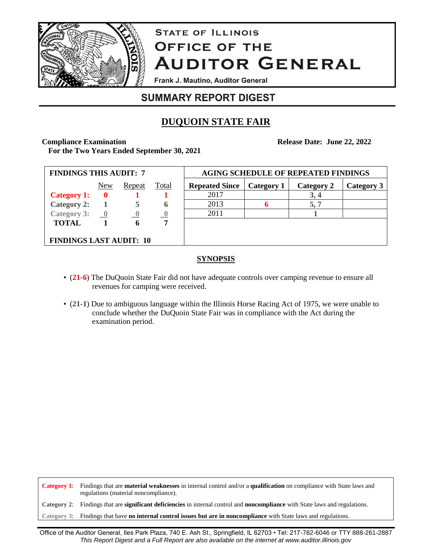

# **STATE OF ILLINOIS OFFICE OF THE AUDITOR GENERAL**

Frank J. Mautino, Auditor General

# **SUMMARY REPORT DIGEST**

# **DUQUOIN STATE FAIR**

**Compliance Examination**

**Release Date: June 22, 2022**

**For the Two Years Ended September 30, 2021**

| <b>FINDINGS THIS AUDIT: 7</b>             |             |                |              | <b>AGING SCHEDULE OF REPEATED FINDINGS</b> |            |            |            |
|-------------------------------------------|-------------|----------------|--------------|--------------------------------------------|------------|------------|------------|
|                                           | New         | Repeat         | <b>Total</b> | <b>Repeated Since</b>                      | Category 1 | Category 2 | Category 3 |
| <b>Category 1:</b>                        | $\mathbf 0$ |                |              | 2017                                       |            | 3,4        |            |
| <b>Category 2:</b>                        |             |                | 6            | 2013                                       |            | 5, 7       |            |
| Category 3: $\qquad \qquad \underline{0}$ |             | $\overline{0}$ |              | 2011                                       |            |            |            |
| <b>TOTAL</b>                              |             | 6              | 7            |                                            |            |            |            |
|                                           |             |                |              |                                            |            |            |            |
| <b>FINDINGS LAST AUDIT: 10</b>            |             |                |              |                                            |            |            |            |

# **SYNOPSIS**

- (**21-6**) The DuQuoin State Fair did not have adequate controls over camping revenue to ensure all revenues for camping were received.
- (**21-1**) Due to ambiguous language within the Illinois Horse Racing Act of 1975, we were unable to conclude whether the DuQuoin State Fair was in compliance with the Act during the examination period.

**Category 1**: Findings that are **material weaknesses** in internal control and/or a **qualification** on compliance with State laws and regulations (material noncompliance).

**Category 2**: Findings that are **significant deficiencies** in internal control and **noncompliance** with State laws and regulations.

**Category 3**: Findings that have **no internal control issues but are in noncompliance** with State laws and regulations.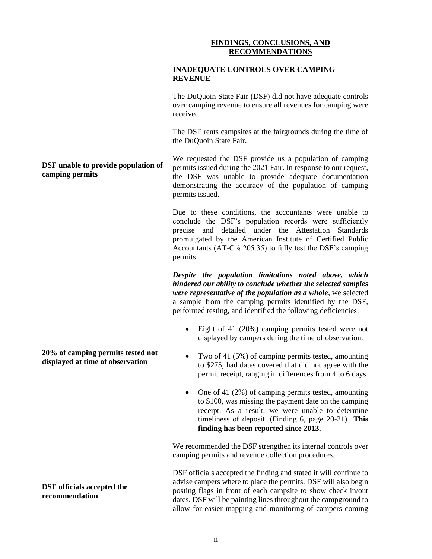## **FINDINGS, CONCLUSIONS, AND RECOMMENDATIONS**

### **INADEQUATE CONTROLS OVER CAMPING REVENUE**

The DuQuoin State Fair (DSF) did not have adequate controls over camping revenue to ensure all revenues for camping were received.

The DSF rents campsites at the fairgrounds during the time of the DuQuoin State Fair.

We requested the DSF provide us a population of camping permits issued during the 2021 Fair. In response to our request, the DSF was unable to provide adequate documentation demonstrating the accuracy of the population of camping permits issued.

Due to these conditions, the accountants were unable to conclude the DSF's population records were sufficiently precise and detailed under the Attestation Standards promulgated by the American Institute of Certified Public Accountants (AT-C § 205.35) to fully test the DSF's camping permits.

*Despite the population limitations noted above, which hindered our ability to conclude whether the selected samples were representative of the population as a whole*, we selected a sample from the camping permits identified by the DSF, performed testing, and identified the following deficiencies:

- Eight of 41 (20%) camping permits tested were not displayed by campers during the time of observation.
- Two of 41 (5%) of camping permits tested, amounting to \$275, had dates covered that did not agree with the permit receipt, ranging in differences from 4 to 6 days.
- One of 41 (2%) of camping permits tested, amounting to \$100, was missing the payment date on the camping receipt. As a result, we were unable to determine timeliness of deposit. (Finding 6, page 20-21) **This finding has been reported since 2013.**

We recommended the DSF strengthen its internal controls over camping permits and revenue collection procedures.

DSF officials accepted the finding and stated it will continue to advise campers where to place the permits. DSF will also begin posting flags in front of each campsite to show check in/out dates. DSF will be painting lines throughout the campground to allow for easier mapping and monitoring of campers coming

# **DSF unable to provide population of camping permits**

**20% of camping permits tested not displayed at time of observation**

**DSF officials accepted the recommendation**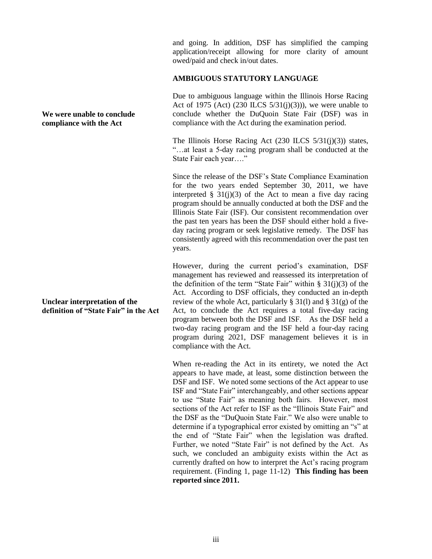and going. In addition, DSF has simplified the camping application/receipt allowing for more clarity of amount owed/paid and check in/out dates.

#### **AMBIGUOUS STATUTORY LANGUAGE**

Due to ambiguous language within the Illinois Horse Racing Act of 1975 (Act) (230 ILCS  $5/31(j)(3)$ )), we were unable to conclude whether the DuQuoin State Fair (DSF) was in compliance with the Act during the examination period.

The Illinois Horse Racing Act  $(230$  ILCS  $5/31(i)(3)$  states, "…at least a 5-day racing program shall be conducted at the State Fair each year…."

Since the release of the DSF's State Compliance Examination for the two years ended September 30, 2011, we have interpreted  $\S$  31(j)(3) of the Act to mean a five day racing program should be annually conducted at both the DSF and the Illinois State Fair (ISF). Our consistent recommendation over the past ten years has been the DSF should either hold a fiveday racing program or seek legislative remedy. The DSF has consistently agreed with this recommendation over the past ten years.

However, during the current period's examination, DSF management has reviewed and reassessed its interpretation of the definition of the term "State Fair" within  $\S 31(j)(3)$  of the Act. According to DSF officials, they conducted an in-depth review of the whole Act, particularly  $\S 31(1)$  and  $\S 31(g)$  of the Act, to conclude the Act requires a total five-day racing program between both the DSF and ISF. As the DSF held a two-day racing program and the ISF held a four-day racing program during 2021, DSF management believes it is in compliance with the Act.

When re-reading the Act in its entirety, we noted the Act appears to have made, at least, some distinction between the DSF and ISF. We noted some sections of the Act appear to use ISF and "State Fair" interchangeably, and other sections appear to use "State Fair" as meaning both fairs. However, most sections of the Act refer to ISF as the "Illinois State Fair" and the DSF as the "DuQuoin State Fair." We also were unable to determine if a typographical error existed by omitting an "s" at the end of "State Fair" when the legislation was drafted. Further, we noted "State Fair" is not defined by the Act. As such, we concluded an ambiguity exists within the Act as currently drafted on how to interpret the Act's racing program requirement. (Finding 1, page 11-12) **This finding has been reported since 2011.**

**We were unable to conclude compliance with the Act**

**Unclear interpretation of the definition of "State Fair" in the Act**